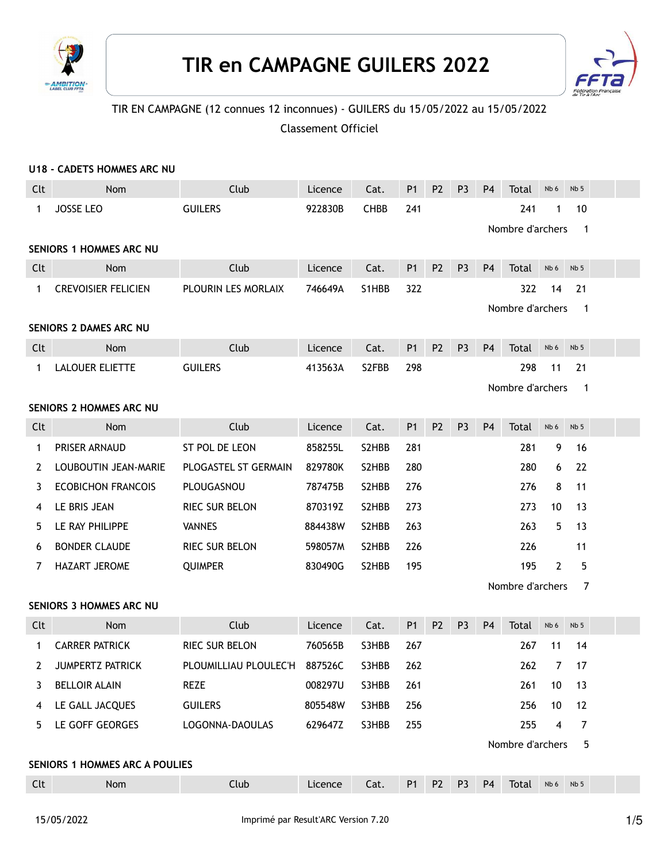



# TIR EN CAMPAGNE (12 connues 12 inconnues) - GUILERS du 15/05/2022 au 15/05/2022

Classement Officiel

|             | U18 - CADETS HOMMES ARC NU            |                       |         |             |                |                |                |                |                         |                 |                            |  |
|-------------|---------------------------------------|-----------------------|---------|-------------|----------------|----------------|----------------|----------------|-------------------------|-----------------|----------------------------|--|
| Clt         | Nom                                   | Club                  | Licence | Cat.        | <b>P1</b>      | P <sub>2</sub> | P <sub>3</sub> | P <sub>4</sub> | Total                   | Nb 6            | Nb <sub>5</sub>            |  |
| $\mathbf 1$ | JOSSE LEO                             | <b>GUILERS</b>        | 922830B | <b>CHBB</b> | 241            |                |                |                | 241<br>Nombre d'archers | 1               | 10<br>$\overline{1}$       |  |
|             | <b>SENIORS 1 HOMMES ARC NU</b>        |                       |         |             |                |                |                |                |                         |                 |                            |  |
| Clt         | Nom                                   | Club                  | Licence | Cat.        | P <sub>1</sub> | <b>P2</b>      | P <sub>3</sub> | P <sub>4</sub> | Total                   | Nb 6            | Nb <sub>5</sub>            |  |
| $\mathbf 1$ | <b>CREVOISIER FELICIEN</b>            | PLOURIN LES MORLAIX   | 746649A | S1HBB       | 322            |                |                |                | 322                     | 14              | 21                         |  |
|             |                                       |                       |         |             |                |                |                |                | Nombre d'archers        |                 | $\overline{\phantom{0}}$ 1 |  |
|             | SENIORS 2 DAMES ARC NU                |                       |         |             |                |                |                |                |                         |                 |                            |  |
| Clt         | Nom                                   | Club                  | Licence | Cat.        | <b>P1</b>      | P <sub>2</sub> | P <sub>3</sub> | P <sub>4</sub> | Total                   | Nb 6            | Nb <sub>5</sub>            |  |
| $\mathbf 1$ | <b>LALOUER ELIETTE</b>                | <b>GUILERS</b>        | 413563A | S2FBB       | 298            |                |                |                | 298                     | 11              | 21                         |  |
|             |                                       |                       |         |             |                |                |                |                | Nombre d'archers        |                 | $\overline{\phantom{0}}$ 1 |  |
|             | <b>SENIORS 2 HOMMES ARC NU</b>        |                       |         |             |                |                |                |                |                         |                 |                            |  |
| Clt         | <b>Nom</b>                            | Club                  | Licence | Cat.        | P <sub>1</sub> | <b>P2</b>      | P <sub>3</sub> | P <sub>4</sub> | Total                   | Nb 6            | Nb <sub>5</sub>            |  |
| $\mathbf 1$ | <b>PRISER ARNAUD</b>                  | ST POL DE LEON        | 858255L | S2HBB       | 281            |                |                |                | 281                     | 9               | 16                         |  |
| 2           | LOUBOUTIN JEAN-MARIE                  | PLOGASTEL ST GERMAIN  | 829780K | S2HBB       | 280            |                |                |                | 280                     | 6               | 22                         |  |
| 3           | <b>ECOBICHON FRANCOIS</b>             | PLOUGASNOU            | 787475B | S2HBB       | 276            |                |                |                | 276                     | 8               | 11                         |  |
| 4           | LE BRIS JEAN                          | <b>RIEC SUR BELON</b> | 870319Z | S2HBB       | 273            |                |                |                | 273                     | 10 <sup>°</sup> | 13                         |  |
| 5           | LE RAY PHILIPPE                       | <b>VANNES</b>         | 884438W | S2HBB       | 263            |                |                |                | 263                     | 5               | 13                         |  |
| 6           | <b>BONDER CLAUDE</b>                  | <b>RIEC SUR BELON</b> | 598057M | S2HBB       | 226            |                |                |                | 226                     |                 | 11                         |  |
| 7           | <b>HAZART JEROME</b>                  | <b>QUIMPER</b>        | 830490G | S2HBB       | 195            |                |                |                | 195                     | $\overline{2}$  | 5                          |  |
|             |                                       |                       |         |             |                |                |                |                | Nombre d'archers        |                 | 7                          |  |
|             | SENIORS 3 HOMMES ARC NU               |                       |         |             |                |                |                |                |                         |                 |                            |  |
| Clt         | Nom                                   | Club                  | Licence | Cat.        | <b>P1</b>      | <b>P2</b>      | P <sub>3</sub> | P <sub>4</sub> | Total                   | Nb 6            | Nb <sub>5</sub>            |  |
| $\mathbf 1$ | <b>CARRER PATRICK</b>                 | <b>RIEC SUR BELON</b> | 760565B | S3HBB       | 267            |                |                |                | 267                     | 11              | 14                         |  |
|             | 2 JUMPERTZ PATRICK                    | PLOUMILLIAU PLOULEC'H | 887526C | S3HBB       | 262            |                |                |                | 262                     |                 | 7 17                       |  |
| 3           | <b>BELLOIR ALAIN</b>                  | REZE                  | 008297U | S3HBB       | 261            |                |                |                | 261                     | 10              | 13                         |  |
| 4           | LE GALL JACQUES                       | <b>GUILERS</b>        | 805548W | S3HBB       | 256            |                |                |                | 256                     | 10              | 12                         |  |
| 5           | LE GOFF GEORGES                       | LOGONNA-DAOULAS       | 629647Z | S3HBB       | 255            |                |                |                | 255                     | $\overline{4}$  | $\overline{7}$             |  |
|             |                                       |                       |         |             |                |                |                |                | Nombre d'archers        |                 | 5                          |  |
|             | <b>SENIORS 1 HOMMES ARC A POULIES</b> |                       |         |             |                |                |                |                |                         |                 |                            |  |
| Clt         | Nom                                   | Club                  | Licence | Cat.        | P1 P2          |                | P <sub>3</sub> | P <sub>4</sub> | Total                   | Nb <sub>6</sub> | Nb <sub>5</sub>            |  |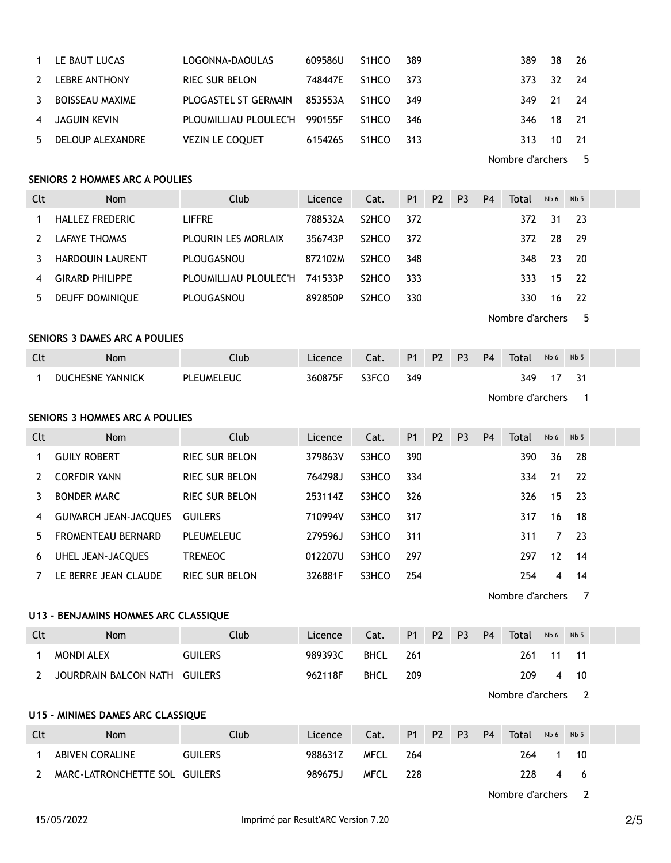|             | 1 LE BAUT LUCAS      | LOGONNA-DAOULAS               | 609586U | S1HCO | 389 | 389       | 38 26 |    |
|-------------|----------------------|-------------------------------|---------|-------|-----|-----------|-------|----|
| $2^{\circ}$ | <b>LEBRE ANTHONY</b> | <b>RIEC SUR BELON</b>         | 748447E | S1HCO | 373 | 373       | 32 24 |    |
|             | 3 BOISSEAU MAXIME    | PLOGASTEL ST GERMAIN          | 853553A | S1HCO | 349 | 349 21 24 |       |    |
|             | 4 JAGUIN KEVIN       | PLOUMILLIAU PLOULEC'H 990155F |         | S1HCO | 346 | 346 18 21 |       |    |
|             | 5 DELOUP ALEXANDRE   | <b>VEZIN LE COQUET</b>        | 615426S | S1HCO | 313 | 313       | 10    | 21 |
|             |                      |                               |         |       |     |           |       |    |

Nombre d'archers 5

#### **SENIORS 2 HOMMES ARC A POULIES**

| Clt | <b>Nom</b>              | Club                  | Licence | Cat.               | P <sub>1</sub> | P <sub>2</sub> | P <sub>3</sub> | P <sub>4</sub> | Total | Nb 6 | Nb <sub>5</sub> |
|-----|-------------------------|-----------------------|---------|--------------------|----------------|----------------|----------------|----------------|-------|------|-----------------|
|     | <b>HALLEZ FREDERIC</b>  | LIFFRE                | 788532A | S2HCO              | 372            |                |                |                | 372   | -31  | -23             |
|     | <b>LAFAYE THOMAS</b>    | PLOURIN LES MORLAIX   | 356743P | S <sub>2</sub> HCO | 372            |                |                |                | 372   | 28   | -29             |
|     | <b>HARDOUIN LAURENT</b> | PLOUGASNOU            | 872102M | S <sub>2</sub> HCO | 348            |                |                |                | 348   | 23   | -20             |
| 4   | <b>GIRARD PHILIPPE</b>  | PLOUMILLIAU PLOULEC'H | 741533P | S <sub>2</sub> HCO | 333            |                |                |                | 333   | 15   | - 22            |
| 5.  | <b>DEUFF DOMINIOUE</b>  | PLOUGASNOU            | 892850P | S <sub>2</sub> HCO | 330            |                |                |                | 330   | 16   | 77              |

Nombre d'archers 5

#### **SENIORS 3 DAMES ARC A POULIES**

| นเ | Nom              | Club       | Licence | Cat.  | P <sub>1</sub> | P <sub>2</sub> | <b>P3</b> | P <sub>4</sub> | Total | Nb <sub>6</sub> | Nb <sub>5</sub> |
|----|------------------|------------|---------|-------|----------------|----------------|-----------|----------------|-------|-----------------|-----------------|
|    | DUCHESNE YANNICK | PLEUMELEUC | 360875F | S3FCO | 349            |                |           |                | 349   |                 |                 |

Nombre d'archers 1

#### **SENIORS 3 HOMMES ARC A POULIES**

| Clt | <b>Nom</b>                   | Club                  | Licence | Cat.  | <b>P1</b> | P <sub>2</sub> | P <sub>3</sub> | P <sub>4</sub> | Total | Nb <sub>6</sub> | Nb <sub>5</sub> |  |
|-----|------------------------------|-----------------------|---------|-------|-----------|----------------|----------------|----------------|-------|-----------------|-----------------|--|
|     | <b>GUILY ROBERT</b>          | <b>RIEC SUR BELON</b> | 379863V | S3HCO | 390       |                |                |                | 390   | 36              | -28             |  |
|     | <b>CORFDIR YANN</b>          | <b>RIEC SUR BELON</b> | 764298J | S3HCO | 334       |                |                |                | 334   | 21              | -22             |  |
| 3   | <b>BONDER MARC</b>           | <b>RIEC SUR BELON</b> | 253114Z | S3HCO | 326       |                |                |                | 326.  | 15              | - 23            |  |
| 4   | <b>GUIVARCH JEAN-JACQUES</b> | <b>GUILERS</b>        | 710994V | S3HCO | 317       |                |                |                | 317   | 16              | 18              |  |
| 5.  | FROMENTEAU BERNARD           | PLEUMELEUC            | 279596J | S3HCO | 311       |                |                |                | 311   |                 | -23             |  |
| 6   | UHEL JEAN-JACQUES            | <b>TREMEOC</b>        | 012207U | S3HCO | 297       |                |                |                | 297   | 12              | 14              |  |
|     | LE BERRE JEAN CLAUDE         | <b>RIEC SUR BELON</b> | 326881F | S3HCO | 254       |                |                |                | 254   | 4               | 14              |  |

Nombre d'archers 7

#### **U13 - BENJAMINS HOMMES ARC CLASSIQUE**

| Clt | Nom                             | Club           | Licence | Cat.        |       | P1 P2 P3 P4 | <b>Total</b> | Nb 6 Nb 5 |           |  |
|-----|---------------------------------|----------------|---------|-------------|-------|-------------|--------------|-----------|-----------|--|
| 1   | MONDI ALEX                      | <b>GUILERS</b> | 989393C | <b>BHCL</b> | - 261 |             |              |           | 261 11 11 |  |
|     | 2 JOURDRAIN BALCON NATH GUILERS |                | 962118F | <b>BHCL</b> | 209   |             |              |           | 209 4 10  |  |

Nombre d'archers 2

#### **U15 - MINIMES DAMES ARC CLASSIQUE**

| Clt | <b>Nom</b>                    | Club    | Licence | Cat.        |     | P1 P2 P3 | <b>P4</b> | Total | Nb <sub>6</sub> | Nb <sub>5</sub> |  |
|-----|-------------------------------|---------|---------|-------------|-----|----------|-----------|-------|-----------------|-----------------|--|
|     | <b>ABIVEN CORALINE</b>        | GUILERS | 988631Z | <b>MFCL</b> | 264 |          |           | 264   |                 | 10              |  |
|     | MARC-LATRONCHETTE SOL GUILERS |         | 989675J | <b>MFCL</b> | 228 |          |           | 228   | 4               | - 6             |  |

Nombre d'archers 2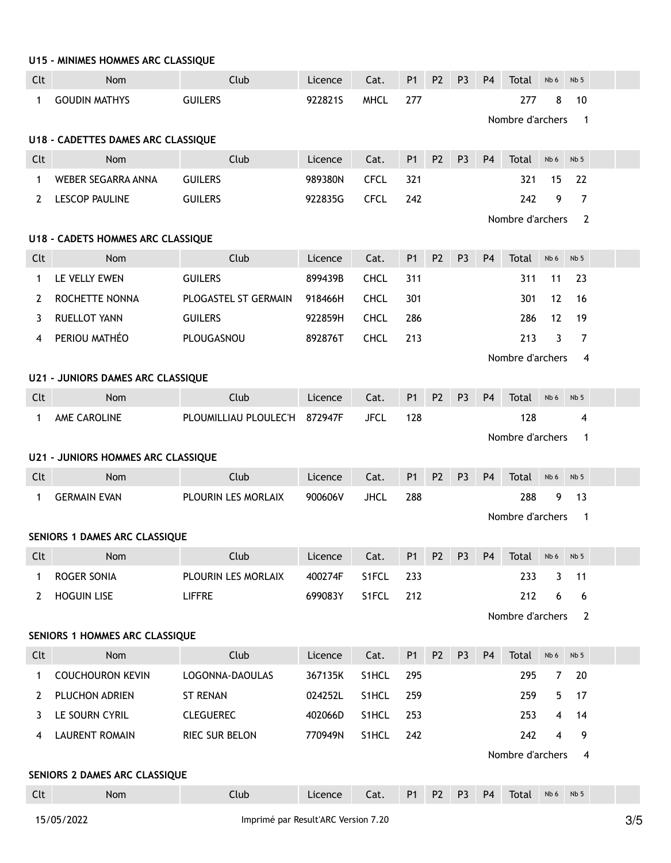|             | U15 - MINIMES HOMMES ARC CLASSIQUE        |                               |         |             |                |                |                |                |                  |                |                 |  |
|-------------|-------------------------------------------|-------------------------------|---------|-------------|----------------|----------------|----------------|----------------|------------------|----------------|-----------------|--|
| Clt         | <b>Nom</b>                                | Club                          | Licence | Cat.        | P <sub>1</sub> | P <sub>2</sub> | P <sub>3</sub> | <b>P4</b>      | Total            | Nb 6           | Nb 5            |  |
| $\mathbf 1$ | <b>GOUDIN MATHYS</b>                      | <b>GUILERS</b>                | 9228215 | <b>MHCL</b> | 277            |                |                |                | 277              | 8              | 10              |  |
|             |                                           |                               |         |             |                |                |                |                | Nombre d'archers |                | $\mathbf{1}$    |  |
|             | U18 - CADETTES DAMES ARC CLASSIQUE        |                               |         |             |                |                |                |                |                  |                |                 |  |
| Clt         | Nom                                       | Club                          | Licence | Cat.        | P <sub>1</sub> | P <sub>2</sub> | P <sub>3</sub> | P <sub>4</sub> | Total            | Nb 6           | Nb 5            |  |
| $\mathbf 1$ | <b>WEBER SEGARRA ANNA</b>                 | <b>GUILERS</b>                | 989380N | <b>CFCL</b> | 321            |                |                |                | 321              | 15             | 22              |  |
| 2           | LESCOP PAULINE                            | <b>GUILERS</b>                | 922835G | <b>CFCL</b> | 242            |                |                |                | 242              | 9              | $\overline{7}$  |  |
|             |                                           |                               |         |             |                |                |                |                | Nombre d'archers |                | $\overline{2}$  |  |
|             | <b>U18 - CADETS HOMMES ARC CLASSIQUE</b>  |                               |         |             |                |                |                |                |                  |                |                 |  |
| Clt         | <b>Nom</b>                                | Club                          | Licence | Cat.        | <b>P1</b>      | <b>P2</b>      | P <sub>3</sub> | <b>P4</b>      | Total            | Nb 6           | Nb <sub>5</sub> |  |
| 1           | LE VELLY EWEN                             | <b>GUILERS</b>                | 899439B | <b>CHCL</b> | 311            |                |                |                | 311              | 11             | 23              |  |
| 2           | ROCHETTE NONNA                            | PLOGASTEL ST GERMAIN          | 918466H | <b>CHCL</b> | 301            |                |                |                | 301              | 12             | 16              |  |
| 3           | <b>RUELLOT YANN</b>                       | <b>GUILERS</b>                | 922859H | <b>CHCL</b> | 286            |                |                |                | 286              | 12             | 19              |  |
| 4           | PERIOU MATHÉO                             | PLOUGASNOU                    | 892876T | <b>CHCL</b> | 213            |                |                |                | 213              | 3              | $\overline{7}$  |  |
|             |                                           |                               |         |             |                |                |                |                | Nombre d'archers |                | 4               |  |
|             | <b>U21 - JUNIORS DAMES ARC CLASSIQUE</b>  |                               |         |             |                |                |                |                |                  |                |                 |  |
| Clt         | Nom                                       | Club                          | Licence | Cat.        | <b>P1</b>      | P <sub>2</sub> | P <sub>3</sub> | <b>P4</b>      | <b>Total</b>     | Nb 6           | Nb <sub>5</sub> |  |
| $\mathbf 1$ | AME CAROLINE                              | PLOUMILLIAU PLOULEC'H 872947F |         | <b>JFCL</b> | 128            |                |                |                | 128              |                | 4               |  |
|             |                                           |                               |         |             |                |                |                |                | Nombre d'archers |                | $\mathbf{1}$    |  |
|             | <b>U21 - JUNIORS HOMMES ARC CLASSIQUE</b> |                               |         |             |                |                |                |                |                  |                |                 |  |
| Clt         | <b>Nom</b>                                | Club                          | Licence | Cat.        | <b>P1</b>      | P <sub>2</sub> | P <sub>3</sub> | P <sub>4</sub> | Total            | Nb 6           | Nb <sub>5</sub> |  |
| 1           | <b>GERMAIN EVAN</b>                       | PLOURIN LES MORLAIX           | 900606V | <b>JHCL</b> | 288            |                |                |                | 288              | 9              | 13              |  |
|             |                                           |                               |         |             |                |                |                |                | Nombre d'archers |                | $\overline{1}$  |  |
|             | SENIORS 1 DAMES ARC CLASSIQUE             |                               |         |             |                |                |                |                |                  |                |                 |  |
| Clt         | Nom                                       | Club                          | Licence | Cat.        | P <sub>1</sub> | P <sub>2</sub> | P <sub>3</sub> | P4             | Total            | Nb 6           | Nb <sub>5</sub> |  |
| 1           | ROGER SONIA                               | PLOURIN LES MORLAIX           | 400274F | S1FCL       | 233            |                |                |                | 233              | 3              | 11              |  |
| 2           | <b>HOGUIN LISE</b>                        | <b>LIFFRE</b>                 | 699083Y | S1FCL       | 212            |                |                |                | 212              | 6              | 6               |  |
|             |                                           |                               |         |             |                |                |                |                | Nombre d'archers |                | $\overline{2}$  |  |
|             | SENIORS 1 HOMMES ARC CLASSIQUE            |                               |         |             |                |                |                |                |                  |                |                 |  |
| Clt         | Nom                                       | Club                          | Licence | Cat.        | <b>P1</b>      | P <sub>2</sub> | P <sub>3</sub> | <b>P4</b>      | Total            | Nb 6           | Nb <sub>5</sub> |  |
| 1           | <b>COUCHOURON KEVIN</b>                   | LOGONNA-DAOULAS               | 367135K | S1HCL       | 295            |                |                |                | 295              | $\overline{7}$ | 20              |  |
| 2           | PLUCHON ADRIEN                            | <b>ST RENAN</b>               | 024252L | S1HCL       | 259            |                |                |                | 259              | 5              | 17              |  |
| 3           | LE SOURN CYRIL                            | <b>CLEGUEREC</b>              | 402066D | S1HCL       | 253            |                |                |                | 253              | 4              | 14              |  |
| 4           | <b>LAURENT ROMAIN</b>                     | RIEC SUR BELON                | 770949N | S1HCL       | 242            |                |                |                | 242              | 4              | 9               |  |
|             |                                           |                               |         |             |                |                |                |                | Nombre d'archers |                | 4               |  |
|             | SENIORS 2 DAMES ARC CLASSIQUE             |                               |         |             |                |                |                |                |                  |                |                 |  |
| Clt         | Nom                                       | Club                          | Licence | Cat.        | P1             | P <sub>2</sub> | P <sub>3</sub> | P <sub>4</sub> | Total            | Nb 6           | Nb <sub>5</sub> |  |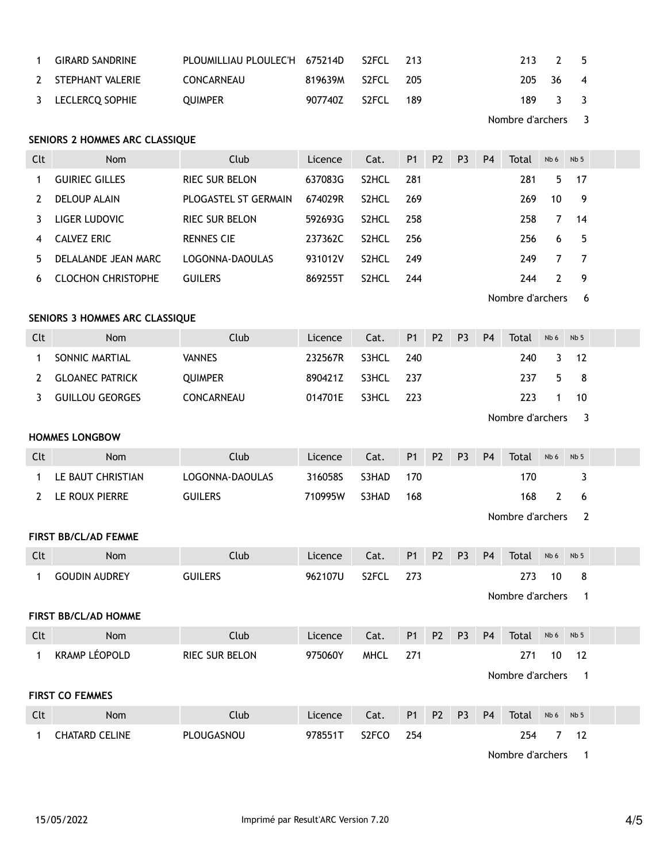| $\overline{1}$ | GIRARD SANDRINE    | PLOUMILLIAU PLOULEC'H 675214D |               | S2FCL 213 |       | 213 2 5  |  |
|----------------|--------------------|-------------------------------|---------------|-----------|-------|----------|--|
|                | 2 STEPHANT VALERIE | <b>CONCARNEAU</b>             | 819639M       | - S2FCL   | - 205 | 205 36 4 |  |
|                | 3 LECLERCO SOPHIE  | <b>OUIMPER</b>                | 907740Z S2FCL |           | 189   | 189 3 3  |  |

Nombre d'archers 3

#### **SENIORS 2 HOMMES ARC CLASSIQUE**

| Clt | <b>Nom</b>                | Club                  | Licence | Cat.               | <b>P1</b>        | P <sub>2</sub> | P <sub>3</sub> | <b>P4</b> | Total | Nb 6 | Nb <sub>5</sub> |  |
|-----|---------------------------|-----------------------|---------|--------------------|------------------|----------------|----------------|-----------|-------|------|-----------------|--|
|     | <b>GUIRIEC GILLES</b>     | <b>RIEC SUR BELON</b> | 637083G | S <sub>2</sub> HCL | 281              |                |                |           | 281   | 5.   | -17             |  |
|     | <b>DELOUP ALAIN</b>       | PLOGASTEL ST GERMAIN  | 674029R | S <sub>2</sub> HCL | 269              |                |                |           | 269   | 10   | 9               |  |
|     | LIGER LUDOVIC             | <b>RIEC SUR BELON</b> | 592693G | S <sub>2</sub> HCL | 258              |                |                |           | 258   |      | 14              |  |
| 4   | CALVEZ ERIC               | <b>RENNES CIE</b>     | 237362C | S <sub>2</sub> HCL | 256              |                |                |           | 256   | 6    | 5               |  |
| 5.  | DELALANDE JEAN MARC       | LOGONNA-DAOULAS       | 931012V | S <sub>2</sub> HCL | 249              |                |                |           | 249   |      | 7               |  |
| 6   | <b>CLOCHON CHRISTOPHE</b> | <b>GUILERS</b>        | 869255T | S <sub>2</sub> HCL | 244              |                |                |           | 244   | 2    | -9              |  |
|     |                           |                       |         |                    | Nombre d'archers |                |                |           |       |      | 6               |  |

#### **SENIORS 3 HOMMES ARC CLASSIQUE**

| Clt | <b>Nom</b>             | Club           | Licence | Cat.        |      | P1 P2 P3 | <b>P4</b> | Total | Nb 6 | Nb <sub>5</sub> |  |
|-----|------------------------|----------------|---------|-------------|------|----------|-----------|-------|------|-----------------|--|
|     | SONNIC MARTIAL         | <b>VANNES</b>  | 232567R | S3HCL       | -240 |          |           | 240   |      | 3 12            |  |
|     | <b>GLOANEC PATRICK</b> | <b>OUIMPER</b> | 890421Z | S3HCL 237   |      |          |           | 237   |      | 5 8             |  |
|     | GUILLOU GEORGES        | CONCARNEAU     | 014701E | $S3HCL$ 223 |      |          |           | 223   |      | -10             |  |

Nombre d'archers 3

### Clt Nom Club Licence Cat. P1 P2 P3 P4 Total Nb6 Nb5 1 LE BAUT CHRISTIAN LOGONNA-DAOULAS 316058S S3HAD 170 170 3 2 LE ROUX PIERRE GUILERS 710995W S3HAD 168 168 2 6 Nombre d'archers 2

#### **FIRST BB/CL/AD FEMME**

**HOMMES LONGBOW**

| Clt | Nom                  | Club           | Licence | Cat.               | <b>P1</b> | P2 P3 | <b>P4</b> | Total              | Nb 6 | Nb <sub>5</sub> |  |
|-----|----------------------|----------------|---------|--------------------|-----------|-------|-----------|--------------------|------|-----------------|--|
|     | <b>GOUDIN AUDREY</b> | <b>GUILERS</b> | 962107U | S <sub>2</sub> FCL | - 273     |       |           | 273                | 10   | 8               |  |
|     |                      |                |         |                    |           |       |           | Nombre d'archers 1 |      |                 |  |

### **FIRST BB/CL/AD HOMME**

| Clt                    | <b>Nom</b>    | Club                  | Licence | Cat.        | P <sub>1</sub> | P2 P3 |                  | <b>P4</b> | Total | Nb <sub>6</sub> | Nb <sub>5</sub> |  |  |
|------------------------|---------------|-----------------------|---------|-------------|----------------|-------|------------------|-----------|-------|-----------------|-----------------|--|--|
|                        | KRAMP LÉOPOLD | <b>RIEC SUR BELON</b> | 975060Y | <b>MHCL</b> | 271            |       |                  |           | 271   | 10              | - 12            |  |  |
|                        |               |                       |         |             |                |       | Nombre d'archers |           |       |                 |                 |  |  |
| <b>FIRST CO FEMMES</b> |               |                       |         |             |                |       |                  |           |       |                 |                 |  |  |

## Clt Nom Club Licence Cat. P1 P2 P3 P4 Total Nb6 Nb5 1 CHATARD CELINE PLOUGASNOU 978551T S2FCO 254 254 7 12

Nombre d'archers 1